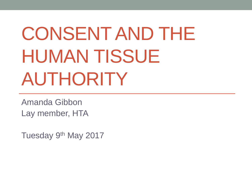# CONSENT AND THE HUMAN TISSUE AUTHORITY

Amanda Gibbon Lay member, HTA

Tuesday 9th May 2017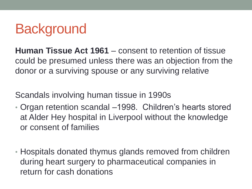

**Human Tissue Act 1961** – consent to retention of tissue could be presumed unless there was an objection from the donor or a surviving spouse or any surviving relative

Scandals involving human tissue in 1990s

- Organ retention scandal –1998. Children's hearts stored at Alder Hey hospital in Liverpool without the knowledge or consent of families
- Hospitals donated thymus glands removed from children during heart surgery to pharmaceutical companies in return for cash donations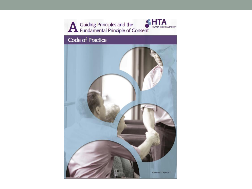A Guiding Principles and the



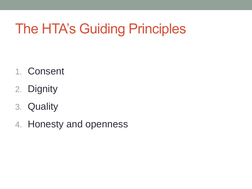## The HTA's Guiding Principles

- 1. Consent
- 2. Dignity
- 3. Quality
- 4. Honesty and openness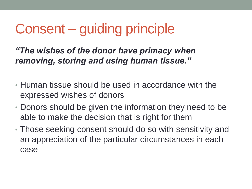### Consent – guiding principle

*"The wishes of the donor have primacy when removing, storing and using human tissue."*

- Human tissue should be used in accordance with the expressed wishes of donors
- Donors should be given the information they need to be able to make the decision that is right for them
- Those seeking consent should do so with sensitivity and an appreciation of the particular circumstances in each case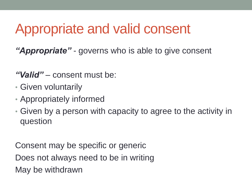#### Appropriate and valid consent

*"Appropriate"* - governs who is able to give consent

*"Valid"* – consent must be:

- Given voluntarily
- Appropriately informed
- Given by a person with capacity to agree to the activity in question

Consent may be specific or generic Does not always need to be in writing May be withdrawn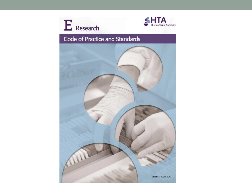



#### Code of Practice and Standards

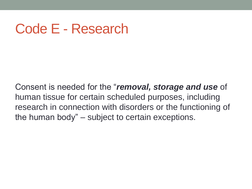#### Code E - Research

Consent is needed for the "*removal, storage and use* of human tissue for certain scheduled purposes, including research in connection with disorders or the functioning of the human body" – subject to certain exceptions.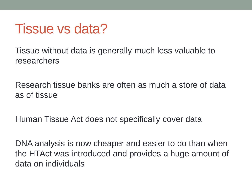#### Tissue vs data?

Tissue without data is generally much less valuable to researchers

Research tissue banks are often as much a store of data as of tissue

Human Tissue Act does not specifically cover data

DNA analysis is now cheaper and easier to do than when the HTAct was introduced and provides a huge amount of data on individuals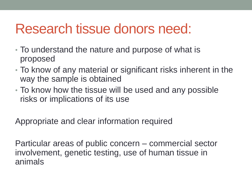#### Research tissue donors need:

- To understand the nature and purpose of what is proposed
- To know of any material or significant risks inherent in the way the sample is obtained
- To know how the tissue will be used and any possible risks or implications of its use

Appropriate and clear information required

Particular areas of public concern – commercial sector involvement, genetic testing, use of human tissue in animals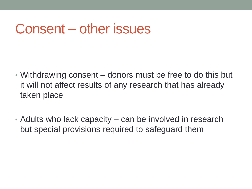#### Consent – other issues

- Withdrawing consent donors must be free to do this but it will not affect results of any research that has already taken place
- Adults who lack capacity can be involved in research but special provisions required to safeguard them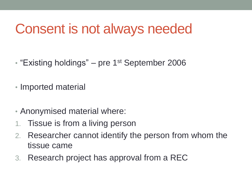### Consent is not always needed

- "Existing holdings" pre 1<sup>st</sup> September 2006
- Imported material
- Anonymised material where:
- 1. Tissue is from a living person
- 2. Researcher cannot identify the person from whom the tissue came
- 3. Research project has approval from a REC